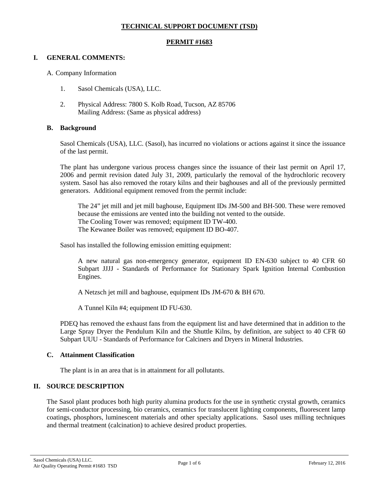### **TECHNICAL SUPPORT DOCUMENT (TSD)**

#### **PERMIT #1683**

#### **I. GENERAL COMMENTS:**

#### A. Company Information

- 1. Sasol Chemicals (USA), LLC.
- 2. Physical Address: 7800 S. Kolb Road, Tucson, AZ 85706 Mailing Address: (Same as physical address)

#### **B. Background**

Sasol Chemicals (USA), LLC. (Sasol), has incurred no violations or actions against it since the issuance of the last permit.

The plant has undergone various process changes since the issuance of their last permit on April 17, 2006 and permit revision dated July 31, 2009, particularly the removal of the hydrochloric recovery system. Sasol has also removed the rotary kilns and their baghouses and all of the previously permitted generators. Additional equipment removed from the permit include:

The 24" jet mill and jet mill baghouse, Equipment IDs JM-500 and BH-500. These were removed because the emissions are vented into the building not vented to the outside. The Cooling Tower was removed; equipment ID TW-400. The Kewanee Boiler was removed; equipment ID BO-407.

Sasol has installed the following emission emitting equipment:

A new natural gas non-emergency generator, equipment ID EN-630 subject to 40 CFR 60 Subpart JJJJ - Standards of Performance for Stationary Spark Ignition Internal Combustion Engines.

A Netzsch jet mill and baghouse, equipment IDs JM-670 & BH 670.

A Tunnel Kiln #4; equipment ID FU-630.

PDEQ has removed the exhaust fans from the equipment list and have determined that in addition to the Large Spray Dryer the Pendulum Kiln and the Shuttle Kilns, by definition, are subject to 40 CFR 60 Subpart UUU - Standards of Performance for Calciners and Dryers in Mineral Industries.

#### **C. Attainment Classification**

The plant is in an area that is in attainment for all pollutants.

## **II. SOURCE DESCRIPTION**

The Sasol plant produces both high purity alumina products for the use in synthetic crystal growth, ceramics for semi-conductor processing, bio ceramics, ceramics for translucent lighting components, fluorescent lamp coatings, phosphors, luminescent materials and other specialty applications. Sasol uses milling techniques and thermal treatment (calcination) to achieve desired product properties.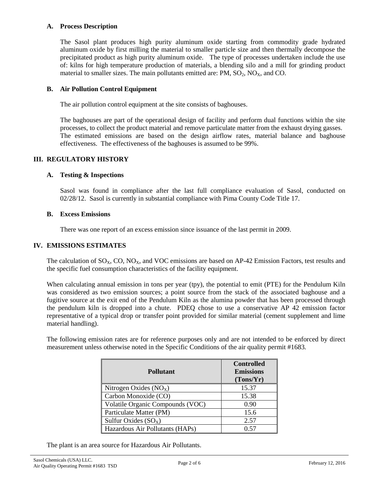#### **A. Process Description**

The Sasol plant produces high purity aluminum oxide starting from commodity grade hydrated aluminum oxide by first milling the material to smaller particle size and then thermally decompose the precipitated product as high purity aluminum oxide. The type of processes undertaken include the use of: kilns for high temperature production of materials, a blending silo and a mill for grinding product material to smaller sizes. The main pollutants emitted are:  $PM$ ,  $SO_2$ ,  $NO<sub>X</sub>$ , and  $CO$ .

#### **B. Air Pollution Control Equipment**

The air pollution control equipment at the site consists of baghouses.

The baghouses are part of the operational design of facility and perform dual functions within the site processes, to collect the product material and remove particulate matter from the exhaust drying gasses. The estimated emissions are based on the design airflow rates, material balance and baghouse effectiveness. The effectiveness of the baghouses is assumed to be 99%.

#### **III. REGULATORY HISTORY**

#### **A. Testing & Inspections**

Sasol was found in compliance after the last full compliance evaluation of Sasol, conducted on 02/28/12. Sasol is currently in substantial compliance with Pima County Code Title 17.

#### **B. Excess Emissions**

There was one report of an excess emission since issuance of the last permit in 2009.

#### **IV. EMISSIONS ESTIMATES**

The calculation of  $SO_x$ ,  $CO$ ,  $NO_x$ , and VOC emissions are based on  $AP-42$  Emission Factors, test results and the specific fuel consumption characteristics of the facility equipment.

When calculating annual emission in tons per year (tpy), the potential to emit (PTE) for the Pendulum Kiln was considered as two emission sources; a point source from the stack of the associated baghouse and a fugitive source at the exit end of the Pendulum Kiln as the alumina powder that has been processed through the pendulum kiln is dropped into a chute. PDEQ chose to use a conservative AP 42 emission factor representative of a typical drop or transfer point provided for similar material (cement supplement and lime material handling).

The following emission rates are for reference purposes only and are not intended to be enforced by direct measurement unless otherwise noted in the Specific Conditions of the air quality permit #1683.

| <b>Pollutant</b>                 | <b>Controlled</b><br><b>Emissions</b><br>(Tons/Yr) |
|----------------------------------|----------------------------------------------------|
| Nitrogen Oxides $(NOX)$          | 15.37                                              |
| Carbon Monoxide (CO)             | 15.38                                              |
| Volatile Organic Compounds (VOC) | 0.90                                               |
| Particulate Matter (PM)          | 15.6                                               |
| Sulfur Oxides $(SO_X)$           | 2.57                                               |
| Hazardous Air Pollutants (HAPs)  | 0.57                                               |

The plant is an area source for Hazardous Air Pollutants.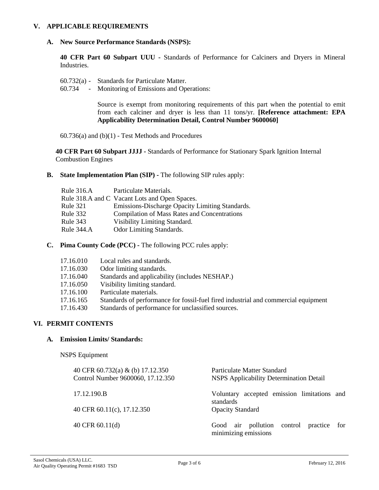#### **V. APPLICABLE REQUIREMENTS**

#### **A. New Source Performance Standards (NSPS):**

**40 CFR Part 60 Subpart UUU -** Standards of Performance for Calciners and Dryers in Mineral Industries.

- 60.732(a) Standards for Particulate Matter.
- 60.734 Monitoring of Emissions and Operations:

Source is exempt from monitoring requirements of this part when the potential to emit from each calciner and dryer is less than 11 tons/yr. **[Reference attachment: EPA Applicability Determination Detail, Control Number 9600060]**

60.736(a) and (b)(1) - Test Methods and Procedures

**40 CFR Part 60 Subpart JJJJ -** Standards of Performance for Stationary Spark Ignition Internal Combustion Engines

**B. State Implementation Plan (SIP) -** The following SIP rules apply:

| <b>Rule 316.A</b> | Particulate Materials.                              |
|-------------------|-----------------------------------------------------|
|                   | Rule 318.A and C Vacant Lots and Open Spaces.       |
| <b>Rule 321</b>   | Emissions-Discharge Opacity Limiting Standards.     |
| Rule 332          | <b>Compilation of Mass Rates and Concentrations</b> |
| Rule 343          | Visibility Limiting Standard.                       |
| Rule 344.A        | <b>Odor Limiting Standards.</b>                     |
|                   |                                                     |

**C. Pima County Code (PCC) -** The following PCC rules apply:

| 17.16.010 | Local rules and standards.                                                         |
|-----------|------------------------------------------------------------------------------------|
| 17.16.030 | Odor limiting standards.                                                           |
| 17.16.040 | Standards and applicability (includes NESHAP.)                                     |
| 17.16.050 | Visibility limiting standard.                                                      |
| 17.16.100 | Particulate materials.                                                             |
| 17.16.165 | Standards of performance for fossil-fuel fired industrial and commercial equipment |
| 17.16.430 | Standards of performance for unclassified sources.                                 |
|           |                                                                                    |

## **VI. PERMIT CONTENTS**

## **A***.* **Emission Limits/ Standards:**

NSPS Equipment

| 40 CFR 60.732(a) & (b) 17.12.350<br>Control Number 9600060, 17.12.350 | Particulate Matter Standard<br><b>NSPS</b> Applicability Determination Detail |
|-----------------------------------------------------------------------|-------------------------------------------------------------------------------|
| 17.12.190.B                                                           | accepted emission limitations and<br>Voluntary<br>standards                   |
| 40 CFR 60.11(c), 17.12.350                                            | <b>Opacity Standard</b>                                                       |
| 40 CFR $60.11(d)$                                                     | Good air pollution control practice<br>for<br>minimizing emissions            |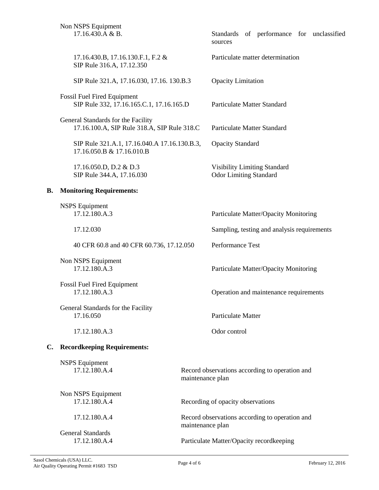|    | Non NSPS Equipment<br>17.16.430.A & B.                                            |                                                                    | sources                                        | Standards of performance for unclassified   |  |  |
|----|-----------------------------------------------------------------------------------|--------------------------------------------------------------------|------------------------------------------------|---------------------------------------------|--|--|
|    | 17.16.430.B, 17.16.130.F.1, F.2 &<br>SIP Rule 316.A, 17.12.350                    |                                                                    |                                                | Particulate matter determination            |  |  |
|    | SIP Rule 321.A, 17.16.030, 17.16. 130.B.3                                         |                                                                    | <b>Opacity Limitation</b>                      |                                             |  |  |
|    | <b>Fossil Fuel Fired Equipment</b><br>SIP Rule 332, 17.16.165.C.1, 17.16.165.D    |                                                                    |                                                | <b>Particulate Matter Standard</b>          |  |  |
|    | General Standards for the Facility<br>17.16.100.A, SIP Rule 318.A, SIP Rule 318.C |                                                                    |                                                | <b>Particulate Matter Standard</b>          |  |  |
|    | SIP Rule 321.A.1, 17.16.040.A 17.16.130.B.3,<br>17.16.050.B & 17.16.010.B         |                                                                    | <b>Opacity Standard</b>                        |                                             |  |  |
|    | 17.16.050.D, D.2 & D.3<br>SIP Rule 344.A, 17.16.030                               |                                                                    | <b>Odor Limiting Standard</b>                  | <b>Visibility Limiting Standard</b>         |  |  |
| В. | <b>Monitoring Requirements:</b>                                                   |                                                                    |                                                |                                             |  |  |
|    | <b>NSPS</b> Equipment<br>17.12.180.A.3                                            |                                                                    |                                                | Particulate Matter/Opacity Monitoring       |  |  |
|    | 17.12.030                                                                         |                                                                    |                                                | Sampling, testing and analysis requirements |  |  |
|    | 40 CFR 60.8 and 40 CFR 60.736, 17.12.050                                          |                                                                    | Performance Test                               |                                             |  |  |
|    | Non NSPS Equipment<br>17.12.180.A.3                                               |                                                                    |                                                | Particulate Matter/Opacity Monitoring       |  |  |
|    | <b>Fossil Fuel Fired Equipment</b><br>17.12.180.A.3                               |                                                                    |                                                | Operation and maintenance requirements      |  |  |
|    | General Standards for the Facility<br>17.16.050                                   |                                                                    | Particulate Matter                             |                                             |  |  |
|    | 17.12.180.A.3                                                                     |                                                                    | Odor control                                   |                                             |  |  |
| C. | <b>Recordkeeping Requirements:</b>                                                |                                                                    |                                                |                                             |  |  |
|    | <b>NSPS</b> Equipment<br>17.12.180.A.4                                            | maintenance plan                                                   | Record observations according to operation and |                                             |  |  |
|    | Non NSPS Equipment<br>17.12.180.A.4                                               |                                                                    | Recording of opacity observations              |                                             |  |  |
|    | 17.12.180.A.4                                                                     | Record observations according to operation and<br>maintenance plan |                                                |                                             |  |  |
|    | <b>General Standards</b><br>17.12.180.A.4                                         |                                                                    | Particulate Matter/Opacity recordkeeping       |                                             |  |  |
|    |                                                                                   |                                                                    |                                                |                                             |  |  |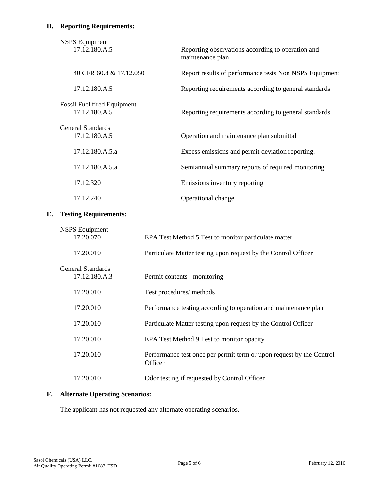# **D. Reporting Requirements:**

| <b>NSPS</b> Equipment<br>17.12.180.A.5              | Reporting observations according to operation and<br>maintenance plan |
|-----------------------------------------------------|-----------------------------------------------------------------------|
| 40 CFR 60.8 & 17.12.050                             | Report results of performance tests Non NSPS Equipment                |
| 17.12.180.A.5                                       | Reporting requirements according to general standards                 |
| <b>Fossil Fuel fired Equipment</b><br>17.12.180.A.5 | Reporting requirements according to general standards                 |
| <b>General Standards</b><br>17.12.180.A.5           | Operation and maintenance plan submittal                              |
| 17.12.180.A.5.a                                     | Excess emissions and permit deviation reporting.                      |
| 17.12.180.A.5.a                                     | Semiannual summary reports of required monitoring                     |
| 17.12.320                                           | Emissions inventory reporting                                         |
| 17.12.240                                           | Operational change                                                    |

# **E. Testing Requirements:**

| <b>NSPS Equipment</b><br>17.20.070 | EPA Test Method 5 Test to monitor particulate matter                            |
|------------------------------------|---------------------------------------------------------------------------------|
| 17.20.010                          | Particulate Matter testing upon request by the Control Officer                  |
| General Standards<br>17.12.180.A.3 | Permit contents - monitoring                                                    |
| 17.20.010                          | Test procedures/ methods                                                        |
| 17.20.010                          | Performance testing according to operation and maintenance plan                 |
| 17.20.010                          | Particulate Matter testing upon request by the Control Officer                  |
| 17.20.010                          | EPA Test Method 9 Test to monitor opacity                                       |
| 17.20.010                          | Performance test once per permit term or upon request by the Control<br>Officer |
| 17.20.010                          | Odor testing if requested by Control Officer                                    |

# **F. Alternate Operating Scenarios:**

The applicant has not requested any alternate operating scenarios.